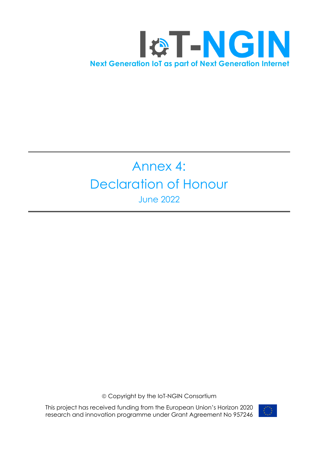

## Annex 4: Declaration of Honour June 2022

ã Copyright by the IoT-NGIN Consortium

This project has received funding from the European Union's Horizon 2020 research and innovation programme under Grant Agreement No 957246

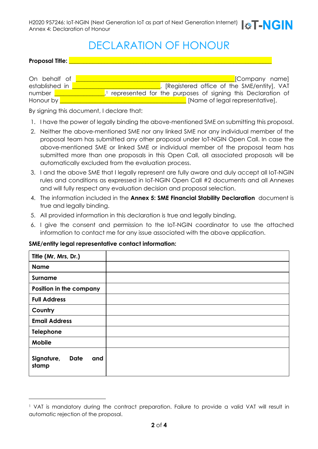## DECLARATION OF HONOUR

**Proposal Title:** 

| On behalf of   | [Company name]                                              |
|----------------|-------------------------------------------------------------|
| established in | [Registered office of the SME/entity], VAT                  |
| number         | represented for the purposes of signing this Declaration of |
| Honour by      | [Name of legal representative],                             |

By signing this document, I declare that:

- 1. I have the power of legally binding the above-mentioned SME on submitting this proposal.
- 2. Neither the above-mentioned SME nor any linked SME nor any individual member of the proposal team has submitted any other proposal under IoT-NGIN Open Call. In case the above-mentioned SME or linked SME or individual member of the proposal team has submitted more than one proposals in this Open Call, all associated proposals will be automatically excluded from the evaluation process.
- 3. I and the above SME that I legally represent are fully aware and duly accept all IoT-NGIN rules and conditions as expressed in IoT-NGIN Open Call #2 documents and all Annexes and will fully respect any evaluation decision and proposal selection.
- 4. The information included in the **Annex 5: SME Financial Stability Declaration** document is true and legally binding.
- 5. All provided information in this declaration is true and legally binding.
- 6. I give the consent and permission to the IoT-NGIN coordinator to use the attached information to contact me for any issue associated with the above application.

| Title (Mr, Mrs, Dr.)                      |  |  |
|-------------------------------------------|--|--|
| <b>Name</b>                               |  |  |
| <b>Surname</b>                            |  |  |
| Position in the company                   |  |  |
| <b>Full Address</b>                       |  |  |
| Country                                   |  |  |
| <b>Email Address</b>                      |  |  |
| <b>Telephone</b>                          |  |  |
| <b>Mobile</b>                             |  |  |
| Signature,<br><b>Date</b><br>and<br>stamp |  |  |

## **SME/entity legal representative contact information:**

<sup>1</sup> VAT is mandatory during the contract preparation. Failure to provide a valid VAT will result in automatic rejection of the proposal.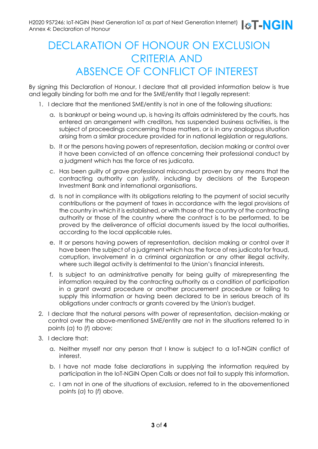## DECLARATION OF HONOUR ON EXCLUSION CRITERIA AND ABSENCE OF CONFLICT OF INTEREST

By signing this Declaration of Honour, I declare that all provided information below is true and legally binding for both me and for the SME/entity that I legally represent:

- 1. I declare that the mentioned SME/entity is not in one of the following situations:
	- a. Is bankrupt or being wound up, is having its affairs administered by the courts, has entered an arrangement with creditors, has suspended business activities, is the subject of proceedings concerning those matters, or is in any analogous situation arising from a similar procedure provided for in national legislation or regulations.
	- b. It or the persons having powers of representation, decision making or control over it have been convicted of an offence concerning their professional conduct by a judgment which has the force of res judicata.
	- c. Has been guilty of grave professional misconduct proven by any means that the contracting authority can justify, including by decisions of the European Investment Bank and international organisations.
	- d. Is not in compliance with its obligations relating to the payment of social security contributions or the payment of taxes in accordance with the legal provisions of the country in which it is established, or with those of the country of the contracting authority or those of the country where the contract is to be performed, to be proved by the deliverance of official documents issued by the local authorities, according to the local applicable rules.
	- e. It or persons having powers of representation, decision making or control over it have been the subject of a judgment which has the force of res judicata for fraud, corruption, involvement in a criminal organization or any other illegal activity, where such illegal activity is detrimental to the Union's financial interests.
	- f. Is subject to an administrative penalty for being guilty of misrepresenting the information required by the contracting authority as a condition of participation in a grant award procedure or another procurement procedure or failing to supply this information or having been declared to be in serious breach of its obligations under contracts or grants covered by the Union's budget.
- 2. I declare that the natural persons with power of representation, decision-making or control over the above-mentioned SME/entity are not in the situations referred to in points (*a*) to (*f*) above;
- 3. I declare that:
	- a. Neither myself nor any person that I know is subject to a IoT-NGIN conflict of interest.
	- b. I have not made false declarations in supplying the information required by participation in the IoT-NGIN Open Calls or does not fail to supply this information.
	- c. I am not in one of the situations of exclusion, referred to in the abovementioned points (*a*) to (*f*) above.